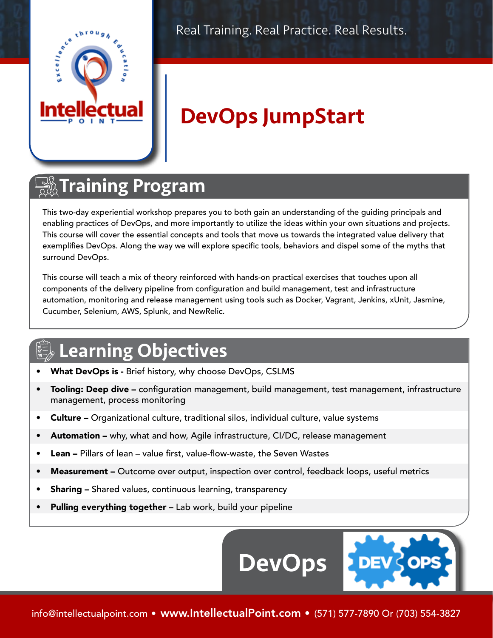

# DevOps JumpStart

# **THE Training Program**

This two-day experiential workshop prepares you to both gain an understanding of the guiding principals and enabling practices of DevOps, and more importantly to utilize the ideas within your own situations and projects. This course will cover the essential concepts and tools that move us towards the integrated value delivery that exemplifies DevOps. Along the way we will explore specific tools, behaviors and dispel some of the myths that surround DevOps.

This course will teach a mix of theory reinforced with hands-on practical exercises that touches upon all components of the delivery pipeline from configuration and build management, test and infrastructure automation, monitoring and release management using tools such as Docker, Vagrant, Jenkins, xUnit, Jasmine, Cucumber, Selenium, AWS, Splunk, and NewRelic.

# Learning Objectives

- What DevOps is Brief history, why choose DevOps, CSLMS
- Tooling: Deep dive configuration management, build management, test management, infrastructure management, process monitoring
- Culture Organizational culture, traditional silos, individual culture, value systems
- Automation why, what and how, Agile infrastructure, CI/DC, release management
- Lean Pillars of lean value first, value-flow-waste, the Seven Wastes
- Measurement Outcome over output, inspection over control, feedback loops, useful metrics
- Sharing Shared values, continuous learning, transparency
- Pulling everything together Lab work, build your pipeline



info@intellectualpoint.com • www.IntellectualPoint.com • (571) 577-7890 Or (703) 554-3827